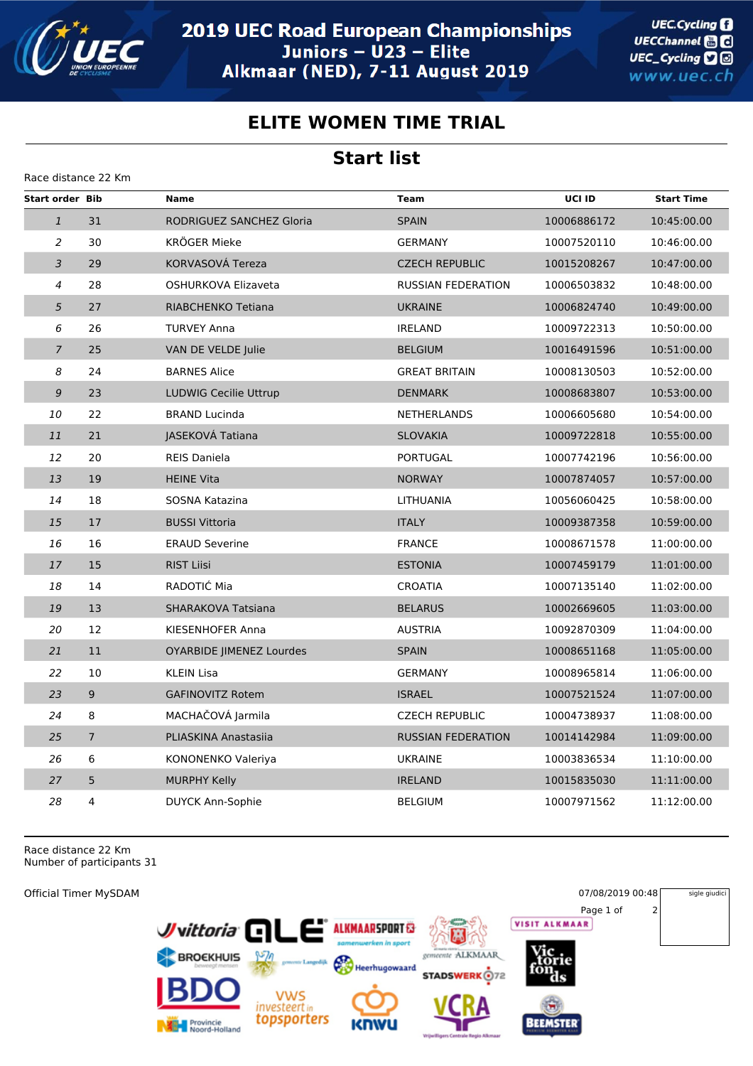

**UEC.Cycling** UECChannel **and** UEC\_Cycling **D** www.uec.ch

## **ELITE WOMEN TIME TRIAL**

## **Start list**

| Race distance 22 Km    |                |                                 |                           |             |                   |  |  |  |  |
|------------------------|----------------|---------------------------------|---------------------------|-------------|-------------------|--|--|--|--|
| <b>Start order Bib</b> |                | <b>Name</b>                     | <b>Team</b>               | UCI ID      | <b>Start Time</b> |  |  |  |  |
| $\mathbf{1}$           | 31             | RODRIGUEZ SANCHEZ Gloria        | <b>SPAIN</b>              | 10006886172 | 10:45:00.00       |  |  |  |  |
| 2                      | 30             | <b>KRÖGER Mieke</b>             | <b>GERMANY</b>            | 10007520110 | 10:46:00.00       |  |  |  |  |
| $\overline{3}$         | 29             | KORVASOVÁ Tereza                | <b>CZECH REPUBLIC</b>     | 10015208267 | 10:47:00.00       |  |  |  |  |
| $\overline{4}$         | 28             | OSHURKOVA Elizaveta             | <b>RUSSIAN FEDERATION</b> | 10006503832 | 10:48:00.00       |  |  |  |  |
| 5                      | 27             | RIABCHENKO Tetiana              | <b>UKRAINE</b>            | 10006824740 | 10:49:00.00       |  |  |  |  |
| 6                      | 26             | <b>TURVEY Anna</b>              | <b>IRELAND</b>            | 10009722313 | 10:50:00.00       |  |  |  |  |
| $\overline{7}$         | 25             | VAN DE VELDE Julie              | <b>BELGIUM</b>            | 10016491596 | 10:51:00.00       |  |  |  |  |
| 8                      | 24             | <b>BARNES Alice</b>             | <b>GREAT BRITAIN</b>      | 10008130503 | 10:52:00.00       |  |  |  |  |
| $\boldsymbol{9}$       | 23             | <b>LUDWIG Cecilie Uttrup</b>    | <b>DENMARK</b>            | 10008683807 | 10:53:00.00       |  |  |  |  |
| 10                     | 22             | <b>BRAND Lucinda</b>            | <b>NETHERLANDS</b>        | 10006605680 | 10:54:00.00       |  |  |  |  |
| 11                     | 21             | JASEKOVÁ Tatiana                | <b>SLOVAKIA</b>           | 10009722818 | 10:55:00.00       |  |  |  |  |
| 12                     | 20             | <b>REIS Daniela</b>             | <b>PORTUGAL</b>           | 10007742196 | 10:56:00.00       |  |  |  |  |
| 13                     | 19             | <b>HEINE Vita</b>               | <b>NORWAY</b>             | 10007874057 | 10:57:00.00       |  |  |  |  |
| 14                     | 18             | SOSNA Katazina                  | LITHUANIA                 | 10056060425 | 10:58:00.00       |  |  |  |  |
| 15                     | 17             | <b>BUSSI Vittoria</b>           | <b>ITALY</b>              | 10009387358 | 10:59:00.00       |  |  |  |  |
| 16                     | 16             | <b>ERAUD Severine</b>           | <b>FRANCE</b>             | 10008671578 | 11:00:00.00       |  |  |  |  |
| 17                     | 15             | <b>RIST Liisi</b>               | <b>ESTONIA</b>            | 10007459179 | 11:01:00.00       |  |  |  |  |
| 18                     | 14             | RADOTIC Mia                     | <b>CROATIA</b>            | 10007135140 | 11:02:00.00       |  |  |  |  |
| 19                     | 13             | SHARAKOVA Tatsiana              | <b>BELARUS</b>            | 10002669605 | 11:03:00.00       |  |  |  |  |
| 20                     | 12             | KIESENHOFER Anna                | <b>AUSTRIA</b>            | 10092870309 | 11:04:00.00       |  |  |  |  |
| 21                     | 11             | <b>OYARBIDE JIMENEZ Lourdes</b> | <b>SPAIN</b>              | 10008651168 | 11:05:00.00       |  |  |  |  |
| 22                     | 10             | <b>KLEIN Lisa</b>               | <b>GERMANY</b>            | 10008965814 | 11:06:00.00       |  |  |  |  |
| 23                     | 9              | <b>GAFINOVITZ Rotem</b>         | <b>ISRAEL</b>             | 10007521524 | 11:07:00.00       |  |  |  |  |
| 24                     | 8              | MACHAČOVÁ Jarmila               | <b>CZECH REPUBLIC</b>     | 10004738937 | 11:08:00.00       |  |  |  |  |
| 25                     | $\overline{7}$ | PLIASKINA Anastasiia            | <b>RUSSIAN FEDERATION</b> | 10014142984 | 11:09:00.00       |  |  |  |  |
| 26                     | 6              | KONONENKO Valeriya              | <b>UKRAINE</b>            | 10003836534 | 11:10:00.00       |  |  |  |  |
| 27                     | 5              | <b>MURPHY Kelly</b>             | <b>IRELAND</b>            | 10015835030 | 11:11:00.00       |  |  |  |  |
| 28                     | 4              | <b>DUYCK Ann-Sophie</b>         | <b>BELGIUM</b>            | 10007971562 | 11:12:00.00       |  |  |  |  |

Race distance 22 Km Number of participants 31